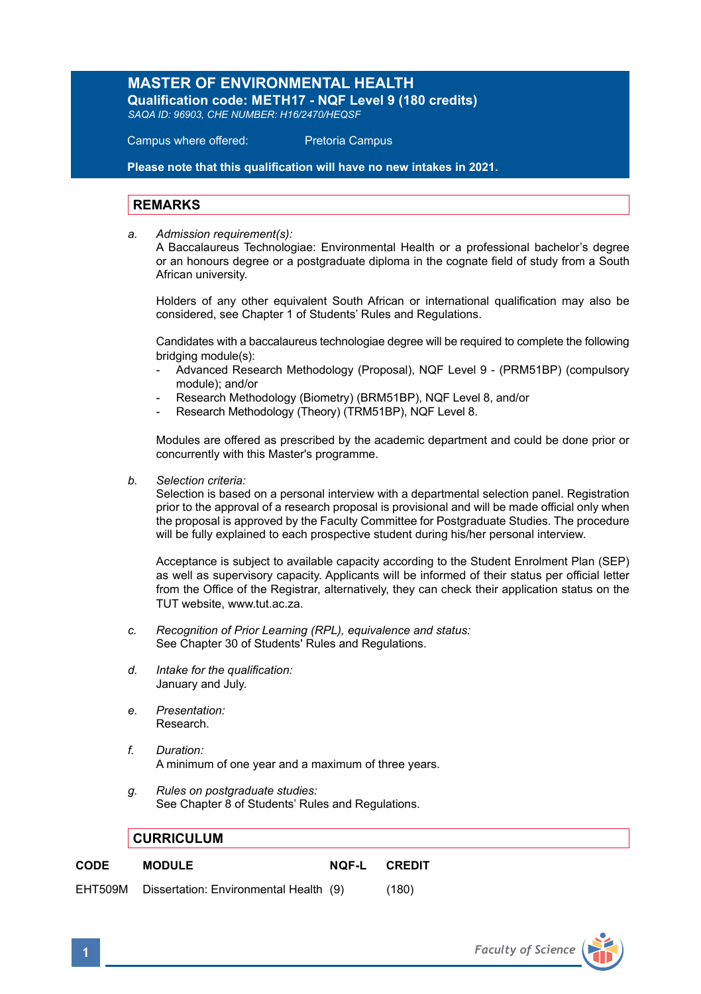## **MASTER OF ENVIRONMENTAL HEALTH**

**Qualification code: METH17 - NQF Level 9 (180 credits)** *SAQA ID: 96903, CHE NUMBER: H16/2470/HEQSF*

Campus where offered: Pretoria Campus

**Please note that this qualification will have no new intakes in 2021.**

## **REMARKS**

*a. Admission requirement(s):* 

A Baccalaureus Technologiae: Environmental Health or a professional bachelor's degree or an honours degree or a postgraduate diploma in the cognate field of study from a South African university.

Holders of any other equivalent South African or international qualification may also be considered, see Chapter 1 of Students' Rules and Regulations.

Candidates with a baccalaureus technologiae degree will be required to complete the following bridging module(s):

- Advanced Research Methodology (Proposal), NQF Level 9 (PRM51BP) (compulsory module); and/or
- Research Methodology (Biometry) (BRM51BP), NQF Level 8, and/or
- Research Methodology (Theory) (TRM51BP), NQF Level 8.

Modules are offered as prescribed by the academic department and could be done prior or concurrently with this Master's programme.

*b. Selection criteria:*

Selection is based on a personal interview with a departmental selection panel. Registration prior to the approval of a research proposal is provisional and will be made official only when the proposal is approved by the Faculty Committee for Postgraduate Studies. The procedure will be fully explained to each prospective student during his/her personal interview.

Acceptance is subject to available capacity according to the Student Enrolment Plan (SEP) as well as supervisory capacity. Applicants will be informed of their status per official letter from the Office of the Registrar, alternatively, they can check their application status on the TUT website, www.tut.ac.za.

- *c. Recognition of Prior Learning (RPL), equivalence and status:* See Chapter 30 of Students' Rules and Regulations.
- *d. Intake for the qualification:* January and July.
- *e. Presentation:*  Research.
- *f. Duration:* A minimum of one year and a maximum of three years.
- *g. Rules on postgraduate studies:* See Chapter 8 of Students' Rules and Regulations.

## **CURRICULUM**

**CODE MODULE NQF-L CREDIT**

EHT509M Dissertation: Environmental Health (9) (180)